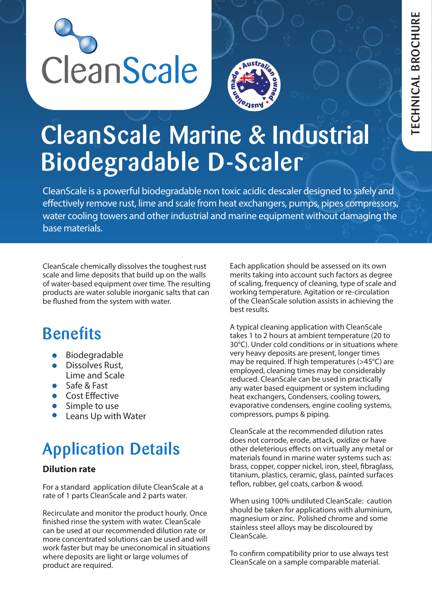



# CleanScale Marine & Industrial Biodegradable D-Scaler

CleanScale is a powerful biodegradable non toxic, non DG descaler designed to safely and effectively remove rust, lime and scale from heat exchangers, pumps, pipes compressors, water cooling towers and other industrial and marine equipment without damaging the base materials.

CleanScale chemically dissolves the toughest rust scale and lime deposits that build up on the walls of water-based equipment over time. The resulting products are water soluble inorganic salts that can be flushed from the system with water.

### **Benefits**

- Biodegradable
- **•** Dissolves Rust, Lime and Scale
- Safe & Fast
- **•** Cost Effective
- Simple to use
- Cleans Up with Water

## Application Details

#### **Dilution rate**

For a standard application dilute CleanScale at a rate of 1 part CleanScale and 2 parts water.

Recirculate and monitor the product hourly. Once finished rinse the system with water. CleanScale can be used at our recommended dilution rate or more concentrated solutions can be used and will work faster but may be uneconomical in situations where deposits are light or large volumes of product are required.

Each application should be assessed on its own merits taking into account such factors as degree of scaling, frequency of cleaning, type of scale and working temperature. Agitation or re-circulation of the CleanScale solution assists in achieving the best results.

A typical cleaning application with CleanScale takes 1 to 2 hours at ambient temperature (20 to 30°C). Under cold conditions or in situations where very heavy deposits are present, longer times may be required. If high temperatures (>45°C) are employed, cleaning times may be considerably reduced. CleanScale can be used in practically any water based equipment or system including heat exchangers, condensers, cooling towers, evaporative condensers, engine cooling systems, compressors, pumps & piping.

CleanScale at the recommended dilution rates does not corrode, erode, attack, oxidize or have other deleterious effects on virtually any metal or materials found in marine water systems such as: brass, copper, copper nickel, iron, steel, fibraglass, titanium, plastics, ceramic, glass, painted surfaces teflon, rubber, gel coats, carbon & wood.

When using 100% undiluted CleanScale: caution should be taken for applications with aluminium, magnesium or zinc. Polished chrome and some stainless steel alloys may be discoloured by CleanScale.

To confirm compatibility prior to use always test CleanScale on a sample comparable material.